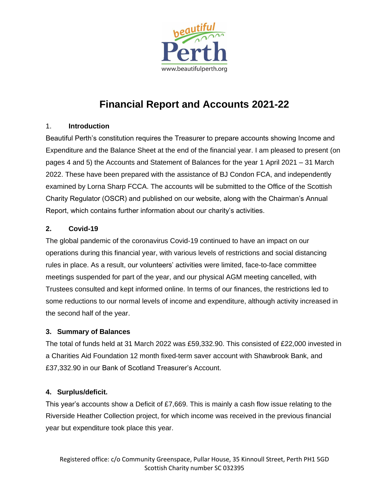

# **Financial Report and Accounts 2021-22**

# 1. **Introduction**

Beautiful Perth's constitution requires the Treasurer to prepare accounts showing Income and Expenditure and the Balance Sheet at the end of the financial year. I am pleased to present (on pages 4 and 5) the Accounts and Statement of Balances for the year 1 April 2021 – 31 March 2022. These have been prepared with the assistance of BJ Condon FCA, and independently examined by Lorna Sharp FCCA. The accounts will be submitted to the Office of the Scottish Charity Regulator (OSCR) and published on our website, along with the Chairman's Annual Report, which contains further information about our charity's activities.

# **2. Covid-19**

The global pandemic of the coronavirus Covid-19 continued to have an impact on our operations during this financial year, with various levels of restrictions and social distancing rules in place. As a result, our volunteers' activities were limited, face-to-face committee meetings suspended for part of the year, and our physical AGM meeting cancelled, with Trustees consulted and kept informed online. In terms of our finances, the restrictions led to some reductions to our normal levels of income and expenditure, although activity increased in the second half of the year.

## **3. Summary of Balances**

The total of funds held at 31 March 2022 was £59,332.90. This consisted of £22,000 invested in a Charities Aid Foundation 12 month fixed-term saver account with Shawbrook Bank, and £37,332.90 in our Bank of Scotland Treasurer's Account.

# **4. Surplus/deficit.**

This year's accounts show a Deficit of £7,669. This is mainly a cash flow issue relating to the Riverside Heather Collection project, for which income was received in the previous financial year but expenditure took place this year.

Registered office: c/o Community Greenspace, Pullar House, 35 Kinnoull Street, Perth PH1 5GD Scottish Charity number SC 032395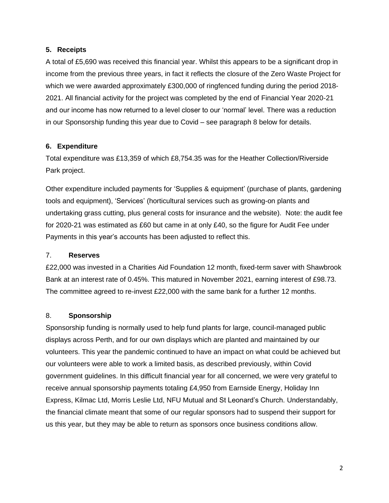#### **5. Receipts**

A total of £5,690 was received this financial year. Whilst this appears to be a significant drop in income from the previous three years, in fact it reflects the closure of the Zero Waste Project for which we were awarded approximately £300,000 of ringfenced funding during the period 2018- 2021. All financial activity for the project was completed by the end of Financial Year 2020-21 and our income has now returned to a level closer to our 'normal' level. There was a reduction in our Sponsorship funding this year due to Covid – see paragraph 8 below for details.

#### **6. Expenditure**

Total expenditure was £13,359 of which £8,754.35 was for the Heather Collection/Riverside Park project.

Other expenditure included payments for 'Supplies & equipment' (purchase of plants, gardening tools and equipment), 'Services' (horticultural services such as growing-on plants and undertaking grass cutting, plus general costs for insurance and the website). Note: the audit fee for 2020-21 was estimated as £60 but came in at only £40, so the figure for Audit Fee under Payments in this year's accounts has been adjusted to reflect this.

#### 7. **Reserves**

£22,000 was invested in a Charities Aid Foundation 12 month, fixed-term saver with Shawbrook Bank at an interest rate of 0.45%. This matured in November 2021, earning interest of £98.73. The committee agreed to re-invest £22,000 with the same bank for a further 12 months.

#### 8. **Sponsorship**

Sponsorship funding is normally used to help fund plants for large, council-managed public displays across Perth, and for our own displays which are planted and maintained by our volunteers. This year the pandemic continued to have an impact on what could be achieved but our volunteers were able to work a limited basis, as described previously, within Covid government guidelines. In this difficult financial year for all concerned, we were very grateful to receive annual sponsorship payments totaling £4,950 from Earnside Energy, Holiday Inn Express, Kilmac Ltd, Morris Leslie Ltd, NFU Mutual and St Leonard's Church. Understandably, the financial climate meant that some of our regular sponsors had to suspend their support for us this year, but they may be able to return as sponsors once business conditions allow.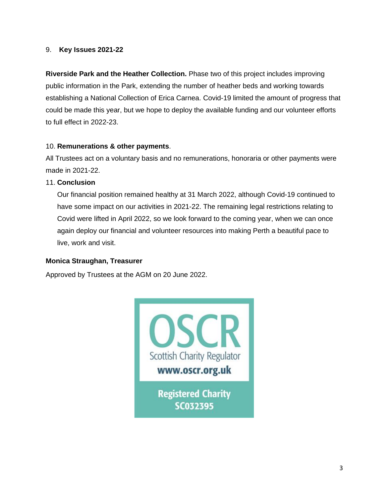#### 9. **Key Issues 2021-22**

**Riverside Park and the Heather Collection.** Phase two of this project includes improving public information in the Park, extending the number of heather beds and working towards establishing a National Collection of Erica Carnea. Covid-19 limited the amount of progress that could be made this year, but we hope to deploy the available funding and our volunteer efforts to full effect in 2022-23.

#### 10. **Remunerations & other payments**.

All Trustees act on a voluntary basis and no remunerations, honoraria or other payments were made in 2021-22.

#### 11. **Conclusion**

Our financial position remained healthy at 31 March 2022, although Covid-19 continued to have some impact on our activities in 2021-22. The remaining legal restrictions relating to Covid were lifted in April 2022, so we look forward to the coming year, when we can once again deploy our financial and volunteer resources into making Perth a beautiful pace to live, work and visit.

## **Monica Straughan, Treasurer**

Approved by Trustees at the AGM on 20 June 2022.

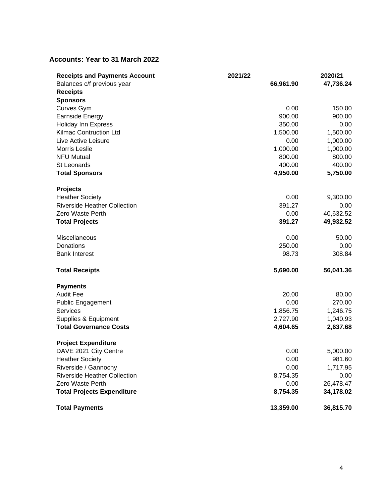# **Accounts: Year to 31 March 2022**

| <b>Receipts and Payments Account</b> | 2021/22   | 2020/21   |
|--------------------------------------|-----------|-----------|
| Balances c/f previous year           | 66,961.90 | 47,736.24 |
| <b>Receipts</b>                      |           |           |
| <b>Sponsors</b>                      |           |           |
| Curves Gym                           | 0.00      | 150.00    |
| <b>Earnside Energy</b>               | 900.00    | 900.00    |
| <b>Holiday Inn Express</b>           | 350.00    | 0.00      |
| <b>Kilmac Contruction Ltd</b>        | 1,500.00  | 1,500.00  |
| Live Active Leisure                  | 0.00      | 1,000.00  |
| Morris Leslie                        | 1,000.00  | 1,000.00  |
| <b>NFU Mutual</b>                    | 800.00    | 800.00    |
| St Leonards                          | 400.00    | 400.00    |
| <b>Total Sponsors</b>                | 4,950.00  | 5,750.00  |
| <b>Projects</b>                      |           |           |
| <b>Heather Society</b>               | 0.00      | 9,300.00  |
| <b>Riverside Heather Collection</b>  | 391.27    | 0.00      |
| Zero Waste Perth                     | 0.00      | 40,632.52 |
| <b>Total Projects</b>                | 391.27    | 49,932.52 |
| Miscellaneous                        | 0.00      | 50.00     |
| Donations                            | 250.00    | 0.00      |
| <b>Bank Interest</b>                 | 98.73     | 308.84    |
| <b>Total Receipts</b>                | 5,690.00  | 56,041.36 |
| <b>Payments</b>                      |           |           |
| <b>Audit Fee</b>                     | 20.00     | 80.00     |
| Public Engagement                    | 0.00      | 270.00    |
| <b>Services</b>                      | 1,856.75  | 1,246.75  |
| Supplies & Equipment                 | 2,727.90  | 1,040.93  |
| <b>Total Governance Costs</b>        | 4,604.65  | 2,637.68  |
| <b>Project Expenditure</b>           |           |           |
| DAVE 2021 City Centre                | 0.00      | 5,000.00  |
| <b>Heather Society</b>               | 0.00      | 981.60    |
| Riverside / Gannochy                 | 0.00      | 1,717.95  |
| <b>Riverside Heather Collection</b>  | 8,754.35  | 0.00      |
| Zero Waste Perth                     | 0.00      | 26,478.47 |
| <b>Total Projects Expenditure</b>    | 8,754.35  | 34,178.02 |
| <b>Total Payments</b>                | 13,359.00 | 36,815.70 |